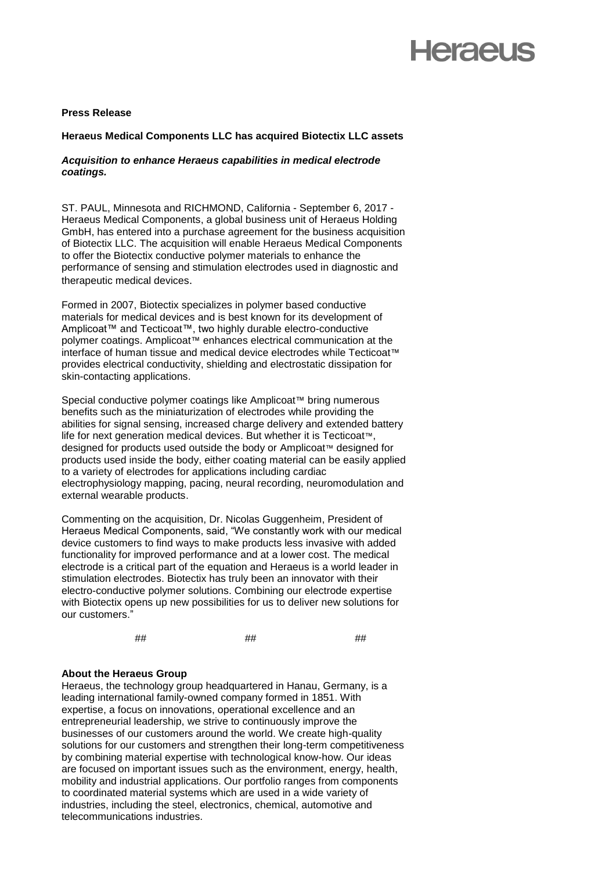# **Heraeus**

#### **Press Release**

### **Heraeus Medical Components LLC has acquired Biotectix LLC assets**

#### *Acquisition to enhance Heraeus capabilities in medical electrode coatings.*

ST. PAUL, Minnesota and RICHMOND, California - September 6, 2017 - Heraeus Medical Components, a global business unit of Heraeus Holding GmbH, has entered into a purchase agreement for the business acquisition of Biotectix LLC. The acquisition will enable Heraeus Medical Components to offer the Biotectix conductive polymer materials to enhance the performance of sensing and stimulation electrodes used in diagnostic and therapeutic medical devices.

Formed in 2007, Biotectix specializes in polymer based conductive materials for medical devices and is best known for its development of Amplicoat™ and Tecticoat™, two highly durable electro-conductive polymer coatings. Amplicoat™ enhances electrical communication at the interface of human tissue and medical device electrodes while Tecticoat™ provides electrical conductivity, shielding and electrostatic dissipation for skin-contacting applications.

Special conductive polymer coatings like Amplicoat™ bring numerous benefits such as the miniaturization of electrodes while providing the abilities for signal sensing, increased charge delivery and extended battery life for next generation medical devices. But whether it is Tecticoat™, designed for products used outside the body or Amplicoat™ designed for products used inside the body, either coating material can be easily applied to a variety of electrodes for applications including cardiac electrophysiology mapping, pacing, neural recording, neuromodulation and external wearable products.

Commenting on the acquisition, Dr. Nicolas Guggenheim, President of Heraeus Medical Components, said, "We constantly work with our medical device customers to find ways to make products less invasive with added functionality for improved performance and at a lower cost. The medical electrode is a critical part of the equation and Heraeus is a world leader in stimulation electrodes. Biotectix has truly been an innovator with their electro-conductive polymer solutions. Combining our electrode expertise with Biotectix opens up new possibilities for us to deliver new solutions for our customers."

## ## ##

## **About the Heraeus Group**

Heraeus, the technology group headquartered in Hanau, Germany, is a leading international family-owned company formed in 1851. With expertise, a focus on innovations, operational excellence and an entrepreneurial leadership, we strive to continuously improve the businesses of our customers around the world. We create high-quality solutions for our customers and strengthen their long-term competitiveness by combining material expertise with technological know-how. Our ideas are focused on important issues such as the environment, energy, health, mobility and industrial applications. Our portfolio ranges from components to coordinated material systems which are used in a wide variety of industries, including the steel, electronics, chemical, automotive and telecommunications industries.